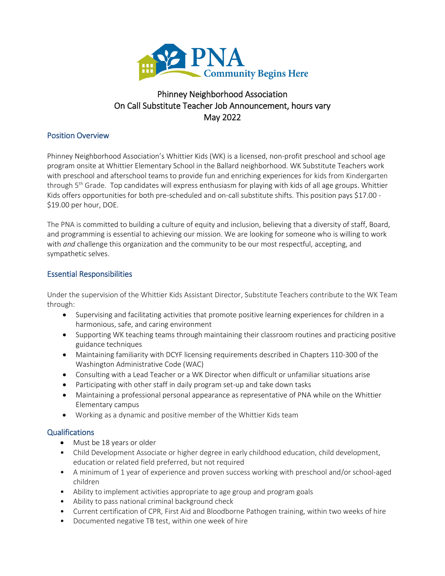

# Phinney Neighborhood Association On Call Substitute Teacher Job Announcement, hours vary May 2022

#### Position Overview

Phinney Neighborhood Association's Whittier Kids (WK) is a licensed, non-profit preschool and school age program onsite at Whittier Elementary School in the Ballard neighborhood. WK Substitute Teachers work with preschool and afterschool teams to provide fun and enriching experiences for kids from Kindergarten through 5<sup>th</sup> Grade. Top candidates will express enthusiasm for playing with kids of all age groups. Whittier Kids offers opportunities for both pre-scheduled and on-call substitute shifts. This position pays \$17.00 - \$19.00 per hour, DOE.

The PNA is committed to building a culture of equity and inclusion, believing that a diversity of staff, Board, and programming is essential to achieving our mission. We are looking for someone who is willing to work with *and* challenge this organization and the community to be our most respectful, accepting, and sympathetic selves.

### Essential Responsibilities

Under the supervision of the Whittier Kids Assistant Director, Substitute Teachers contribute to the WK Team through:

- Supervising and facilitating activities that promote positive learning experiences for children in a harmonious, safe, and caring environment
- Supporting WK teaching teams through maintaining their classroom routines and practicing positive guidance techniques
- Maintaining familiarity with DCYF licensing requirements described in Chapters 110-300 of the Washington Administrative Code (WAC)
- Consulting with a Lead Teacher or a WK Director when difficult or unfamiliar situations arise
- Participating with other staff in daily program set-up and take down tasks
- Maintaining a professional personal appearance as representative of PNA while on the Whittier Elementary campus
- Working as a dynamic and positive member of the Whittier Kids team

## Qualifications

- Must be 18 years or older
- Child Development Associate or higher degree in early childhood education, child development, education or related field preferred, but not required
- A minimum of 1 year of experience and proven success working with preschool and/or school-aged children
- Ability to implement activities appropriate to age group and program goals
- Ability to pass national criminal background check
- Current certification of CPR, First Aid and Bloodborne Pathogen training, within two weeks of hire
- Documented negative TB test, within one week of hire